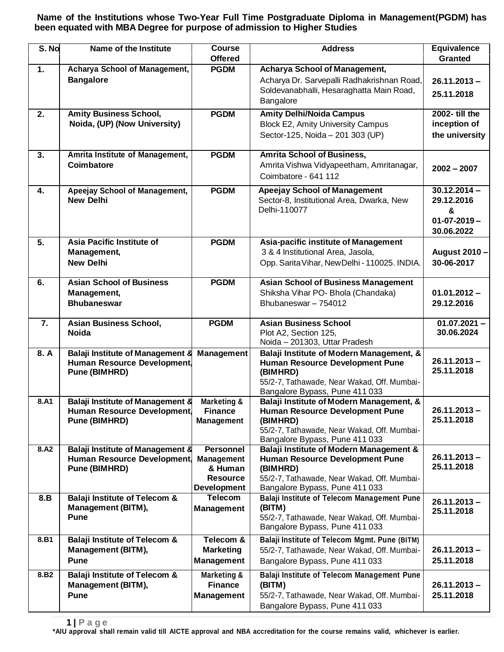**Name of the Institutions whose Two-Year Full Time Postgraduate Diploma in Management(PGDM) has been equated with MBA Degree for purpose of admission to Higher Studies**

| S. No            | Name of the Institute                                                                                | <b>Course</b><br><b>Offered</b>                                                           | <b>Address</b>                                                                                                                                                                  | <b>Equivalence</b><br><b>Granted</b>                                  |
|------------------|------------------------------------------------------------------------------------------------------|-------------------------------------------------------------------------------------------|---------------------------------------------------------------------------------------------------------------------------------------------------------------------------------|-----------------------------------------------------------------------|
| 1.               | Acharya School of Management,<br><b>Bangalore</b>                                                    | <b>PGDM</b>                                                                               | <b>Acharya School of Management,</b><br>Acharya Dr. Sarvepalli Radhakrishnan Road,<br>Soldevanabhalli, Hesaraghatta Main Road,<br>Bangalore                                     | $26.11.2013 -$<br>25.11.2018                                          |
| 2.               | <b>Amity Business School,</b><br>Noida, (UP) (Now University)                                        | <b>PGDM</b>                                                                               | <b>Amity Delhi/Noida Campus</b><br><b>Block E2, Amity University Campus</b><br>Sector-125, Noida - 201 303 (UP)                                                                 | 2002- till the<br>inception of<br>the university                      |
| 3.               | Amrita Institute of Management,<br><b>Coimbatore</b>                                                 | <b>PGDM</b>                                                                               | <b>Amrita School of Business,</b><br>Amrita Vishwa Vidyapeetham, Amritanagar,<br>Coimbatore - 641 112                                                                           | $2002 - 2007$                                                         |
| 4.               | Apeejay School of Management,<br><b>New Delhi</b>                                                    | <b>PGDM</b>                                                                               | <b>Apeejay School of Management</b><br>Sector-8, Institutional Area, Dwarka, New<br>Delhi-110077                                                                                | $30.12.2014 -$<br>29.12.2016<br>&<br>$01 - 07 - 2019 -$<br>30.06.2022 |
| 5.               | Asia Pacific Institute of<br>Management,<br><b>New Delhi</b>                                         | <b>PGDM</b>                                                                               | Asia-pacific institute of Management<br>3 & 4 Institutional Area, Jasola,<br>Opp. Sarita Vihar, New Delhi - 110025. INDIA.                                                      | August 2010 -<br>30-06-2017                                           |
| 6.               | <b>Asian School of Business</b><br>Management,<br><b>Bhubaneswar</b>                                 | <b>PGDM</b>                                                                               | <b>Asian School of Business Management</b><br>Shiksha Vihar PO- Bhola (Chandaka)<br>Bhubaneswar - 754012                                                                        | $01.01.2012 -$<br>29.12.2016                                          |
| 7.               | Asian Business School,<br><b>Noida</b>                                                               | <b>PGDM</b>                                                                               | <b>Asian Business School</b><br>Plot A2, Section 125,<br>Noida - 201303, Uttar Pradesh                                                                                          | $01.07.2021 -$<br>30.06.2024                                          |
| 8.A              | <b>Balaji Institute of Management 8</b><br>Human Resource Development,<br><b>Pune (BIMHRD)</b>       | <b>Management</b>                                                                         | Balaji Institute of Modern Management, &<br><b>Human Resource Development Pune</b><br>(BIMHRD)<br>55/2-7, Tathawade, Near Wakad, Off. Mumbai-<br>Bangalore Bypass, Pune 411 033 | $26.11.2013 -$<br>25.11.2018                                          |
| 8.A1             | <b>Balaji Institute of Management 8</b><br><b>Human Resource Development</b><br><b>Pune (BIMHRD)</b> | Marketing &<br><b>Finance</b><br><b>Management</b>                                        | Balaji Institute of Modern Management, &<br><b>Human Resource Development Pune</b><br>(BIMHRD)<br>55/2-7, Tathawade, Near Wakad, Off. Mumbai-<br>Bangalore Bypass, Pune 411 033 | 26.11.2013<br>25.11.2018                                              |
| 8.A2             | <b>Balaji Institute of Management 8</b><br>Human Resource Development<br><b>Pune (BIMHRD)</b>        | <b>Personnel</b><br><b>Management</b><br>& Human<br><b>Resource</b><br><b>Development</b> | Balaji Institute of Modern Management &<br><b>Human Resource Development Pune</b><br>(BIMHRD)<br>55/2-7, Tathawade, Near Wakad, Off. Mumbai-<br>Bangalore Bypass, Pune 411 033  | $26.11.2013 -$<br>25.11.2018                                          |
| 8.B              | <b>Balaji Institute of Telecom &amp;</b><br><b>Management (BITM),</b><br><b>Pune</b>                 | <b>Telecom</b><br><b>Management</b>                                                       | <b>Balaji Institute of Telecom Management Pune</b><br>(BITM)<br>55/2-7, Tathawade, Near Wakad, Off. Mumbai-<br>Bangalore Bypass, Pune 411 033                                   | $26.11.2013 -$<br>25.11.2018                                          |
| 8.B1             | <b>Balaji Institute of Telecom &amp;</b><br><b>Management (BITM),</b><br><b>Pune</b>                 | Telecom &<br><b>Marketing</b><br><b>Management</b>                                        | Balaji Institute of Telecom Mgmt. Pune (BITM)<br>55/2-7, Tathawade, Near Wakad, Off. Mumbai-<br>Bangalore Bypass, Pune 411 033                                                  | $26.11.2013 -$<br>25.11.2018                                          |
| 8.B <sub>2</sub> | <b>Balaji Institute of Telecom &amp;</b><br><b>Management (BITM),</b><br><b>Pune</b>                 | Marketing &<br><b>Finance</b><br><b>Management</b>                                        | <b>Balaji Institute of Telecom Management Pune</b><br>(BITM)<br>55/2-7, Tathawade, Near Wakad, Off. Mumbai-<br>Bangalore Bypass, Pune 411 033                                   | $26.11.2013 -$<br>25.11.2018                                          |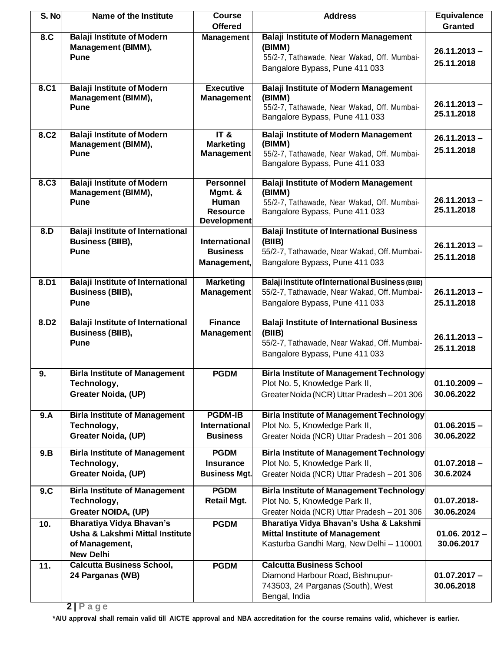| S. No            | Name of the Institute                                                                             | <b>Course</b><br><b>Offered</b>                                                      | <b>Address</b>                                                                                                                               | <b>Equivalence</b><br><b>Granted</b> |
|------------------|---------------------------------------------------------------------------------------------------|--------------------------------------------------------------------------------------|----------------------------------------------------------------------------------------------------------------------------------------------|--------------------------------------|
| 8.C              | <b>Balaji Institute of Modern</b><br>Management (BIMM),<br><b>Pune</b>                            | <b>Management</b>                                                                    | <b>Balaji Institute of Modern Management</b><br>(BIMM)<br>55/2-7, Tathawade, Near Wakad, Off. Mumbai-<br>Bangalore Bypass, Pune 411 033      | $26.11.2013 -$<br>25.11.2018         |
| 8.C1             | <b>Balaji Institute of Modern</b><br>Management (BIMM),<br>Pune                                   | <b>Executive</b><br><b>Management</b>                                                | <b>Balaji Institute of Modern Management</b><br>(BIMM)<br>55/2-7, Tathawade, Near Wakad, Off. Mumbai-<br>Bangalore Bypass, Pune 411 033      | $26.11.2013 -$<br>25.11.2018         |
| 8.C <sub>2</sub> | <b>Balaji Institute of Modern</b><br>Management (BIMM),<br><b>Pune</b>                            | IT <sub>8</sub><br><b>Marketing</b><br>Management                                    | <b>Balaji Institute of Modern Management</b><br>(BIMM)<br>55/2-7, Tathawade, Near Wakad, Off. Mumbai-<br>Bangalore Bypass, Pune 411 033      | $26.11.2013 -$<br>25.11.2018         |
| 8.C <sub>3</sub> | <b>Balaji Institute of Modern</b><br>Management (BIMM),<br><b>Pune</b>                            | <b>Personnel</b><br>Mgmt. &<br><b>Human</b><br><b>Resource</b><br><b>Development</b> | <b>Balaji Institute of Modern Management</b><br>(BIMM)<br>55/2-7, Tathawade, Near Wakad, Off. Mumbai-<br>Bangalore Bypass, Pune 411 033      | $26.11.2013 -$<br>25.11.2018         |
| 8.D              | <b>Balaji Institute of International</b><br><b>Business (BIIB),</b><br><b>Pune</b>                | <b>International</b><br><b>Business</b><br>Management,                               | <b>Balaji Institute of International Business</b><br>(BIIB)<br>55/2-7, Tathawade, Near Wakad, Off. Mumbai-<br>Bangalore Bypass, Pune 411 033 | $26.11.2013 -$<br>25.11.2018         |
| 8.D1             | <b>Balaji Institute of International</b><br><b>Business (BIIB),</b><br><b>Pune</b>                | <b>Marketing</b><br><b>Management</b>                                                | Balaji Institute of International Business (BIIB)<br>55/2-7, Tathawade, Near Wakad, Off. Mumbai-<br>Bangalore Bypass, Pune 411 033           | $26.11.2013 -$<br>25.11.2018         |
| 8.D <sub>2</sub> | <b>Balaji Institute of International</b><br><b>Business (BIIB),</b><br><b>Pune</b>                | <b>Finance</b><br><b>Management</b>                                                  | <b>Balaji Institute of International Business</b><br>(BIIB)<br>55/2-7, Tathawade, Near Wakad, Off. Mumbai-<br>Bangalore Bypass, Pune 411 033 | $26.11.2013 -$<br>25.11.2018         |
| 9.               | <b>Birla Institute of Management</b><br>Technology,<br>Greater Noida, (UP)                        | <b>PGDM</b>                                                                          | <b>Birla Institute of Management Technology</b><br>Plot No. 5, Knowledge Park II,<br>Greater Noida (NCR) Uttar Pradesh-201306                | $01.10.2009 -$<br>30.06.2022         |
| 9.A              | <b>Birla Institute of Management</b><br>Technology,<br><b>Greater Noida, (UP)</b>                 | <b>PGDM-IB</b><br><b>International</b><br><b>Business</b>                            | <b>Birla Institute of Management Technology</b><br>Plot No. 5, Knowledge Park II,<br>Greater Noida (NCR) Uttar Pradesh - 201 306             | $01.06.2015 -$<br>30.06.2022         |
| 9.B              | <b>Birla Institute of Management</b><br>Technology,<br><b>Greater Noida, (UP)</b>                 | <b>PGDM</b><br><b>Insurance</b><br><b>Business Mgt.</b>                              | <b>Birla Institute of Management Technology</b><br>Plot No. 5, Knowledge Park II,<br>Greater Noida (NCR) Uttar Pradesh - 201 306             | $01.07.2018 -$<br>30.6.2024          |
| 9.C              | <b>Birla Institute of Management</b><br>Technology,<br>Greater NOIDA, (UP)                        | <b>PGDM</b><br><b>Retail Mgt.</b>                                                    | <b>Birla Institute of Management Technology</b><br>Plot No. 5, Knowledge Park II,<br>Greater Noida (NCR) Uttar Pradesh - 201 306             | 01.07.2018-<br>30.06.2024            |
| 10.              | Bharatiya Vidya Bhavan's<br>Usha & Lakshmi Mittal Institute<br>of Management,<br><b>New Delhi</b> | <b>PGDM</b>                                                                          | Bharatiya Vidya Bhavan's Usha & Lakshmi<br><b>Mittal Institute of Management</b><br>Kasturba Gandhi Marg, New Delhi - 110001                 | $01.06.2012 -$<br>30.06.2017         |
| 11.              | <b>Calcutta Business School,</b><br>24 Parganas (WB)                                              | <b>PGDM</b>                                                                          | <b>Calcutta Business School</b><br>Diamond Harbour Road, Bishnupur-<br>743503, 24 Parganas (South), West<br>Bengal, India                    | $01.07.2017 -$<br>30.06.2018         |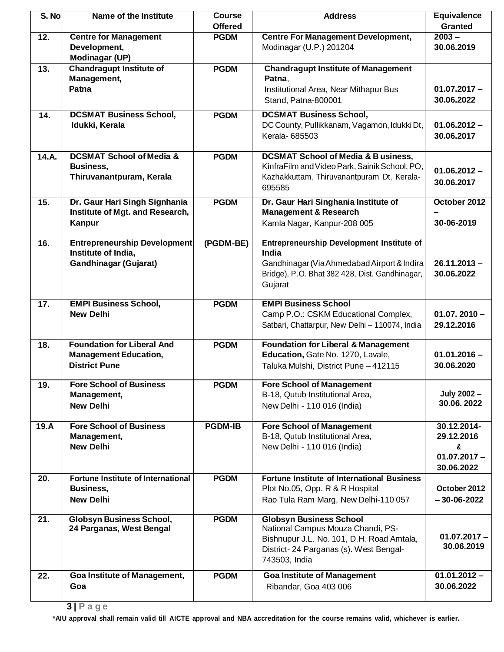| S. No | Name of the Institute                                                                      | <b>Course</b><br><b>Offered</b> | <b>Address</b>                                                                                                                                                               | <b>Equivalence</b><br><b>Granted</b>                           |
|-------|--------------------------------------------------------------------------------------------|---------------------------------|------------------------------------------------------------------------------------------------------------------------------------------------------------------------------|----------------------------------------------------------------|
| 12.   | <b>Centre for Management</b><br>Development,<br><b>Modinagar (UP)</b>                      | <b>PGDM</b>                     | <b>Centre For Management Development,</b><br>Modinagar (U.P.) 201204                                                                                                         | $2003 -$<br>30.06.2019                                         |
| 13.   | <b>Chandragupt Institute of</b><br>Management,<br>Patna                                    | <b>PGDM</b>                     | <b>Chandragupt Institute of Management</b><br>Patna,<br>Institutional Area, Near Mithapur Bus<br>Stand, Patna-800001                                                         | $01.07.2017 -$<br>30.06.2022                                   |
| 14.   | <b>DCSMAT Business School,</b><br>Idukki, Kerala                                           | <b>PGDM</b>                     | <b>DCSMAT Business School,</b><br>DC County, Pullikkanam, Vagamon, Idukki Dt,<br>Kerala-685503                                                                               | $01.06.2012 -$<br>30.06.2017                                   |
| 14.A. | <b>DCSMAT School of Media &amp;</b><br>Business,<br>Thiruvanantpuram, Kerala               | <b>PGDM</b>                     | <b>DCSMAT School of Media &amp; B usiness,</b><br>KinfraFilm and Video Park, Sainik School, PO,<br>Kazhakkuttam, Thiruvanantpuram Dt, Kerala-<br>695585                      | $01.06.2012 -$<br>30.06.2017                                   |
| 15.   | Dr. Gaur Hari Singh Signhania<br>Institute of Mgt. and Research,<br>Kanpur                 | <b>PGDM</b>                     | Dr. Gaur Hari Singhania Institute of<br><b>Management &amp; Research</b><br>Kamla Nagar, Kanpur-208 005                                                                      | October 2012<br>30-06-2019                                     |
| 16.   | <b>Entrepreneurship Development</b><br>Institute of India,<br><b>Gandhinagar (Gujarat)</b> | (PGDM-BE)                       | <b>Entrepreneurship Development Institute of</b><br><b>India</b><br>Gandhinagar (Via Ahmedabad Airport & Indira<br>Bridge), P.O. Bhat 382 428, Dist. Gandhinagar,<br>Gujarat | $26.11.2013 -$<br>30.06.2022                                   |
| 17.   | <b>EMPI Business School,</b><br><b>New Delhi</b>                                           | <b>PGDM</b>                     | <b>EMPI Business School</b><br>Camp P.O.: CSKM Educational Complex,<br>Satbari, Chattarpur, New Delhi - 110074, India                                                        | $01.07.2010 -$<br>29.12.2016                                   |
| 18.   | <b>Foundation for Liberal And</b><br><b>Management Education,</b><br><b>District Pune</b>  | <b>PGDM</b>                     | <b>Foundation for Liberal &amp; Management</b><br>Education, Gate No. 1270, Lavale,<br>Taluka Mulshi, District Pune - 412115                                                 | $01.01.2016 -$<br>30.06.2020                                   |
| 19.   | <b>Fore School of Business</b><br>Management,<br><b>New Delhi</b>                          | <b>PGDM</b>                     | <b>Fore School of Management</b><br>B-18, Qutub Institutional Area,<br>New Delhi - 110 016 (India)                                                                           | July 2002 -<br>30.06, 2022                                     |
| 19.A  | <b>Fore School of Business</b><br>Management,<br><b>New Delhi</b>                          | <b>PGDM-IB</b>                  | <b>Fore School of Management</b><br>B-18, Qutub Institutional Area,<br>New Delhi - 110 016 (India)                                                                           | 30.12.2014-<br>29.12.2016<br>&<br>$01.07.2017 -$<br>30.06.2022 |
| 20.   | <b>Fortune Institute of International</b><br>Business,<br><b>New Delhi</b>                 | <b>PGDM</b>                     | <b>Fortune Institute of International Business</b><br>Plot No.05, Opp. R & R Hospital<br>Rao Tula Ram Marg, New Delhi-110 057                                                | October 2012<br>$-30-06-2022$                                  |
| 21.   | <b>Globsyn Business School,</b><br>24 Parganas, West Bengal                                | <b>PGDM</b>                     | <b>Globsyn Business School</b><br>National Campus Mouza Chandi, PS-<br>Bishnupur J.L. No. 101, D.H. Road Amtala,<br>District- 24 Parganas (s). West Bengal-<br>743503, India | $01.07.2017 -$<br>30.06.2019                                   |
| 22.   | Goa Institute of Management,<br>Goa                                                        | <b>PGDM</b>                     | <b>Goa Institute of Management</b><br>Ribandar, Goa 403 006                                                                                                                  | $01.01.2012 -$<br>30.06.2022                                   |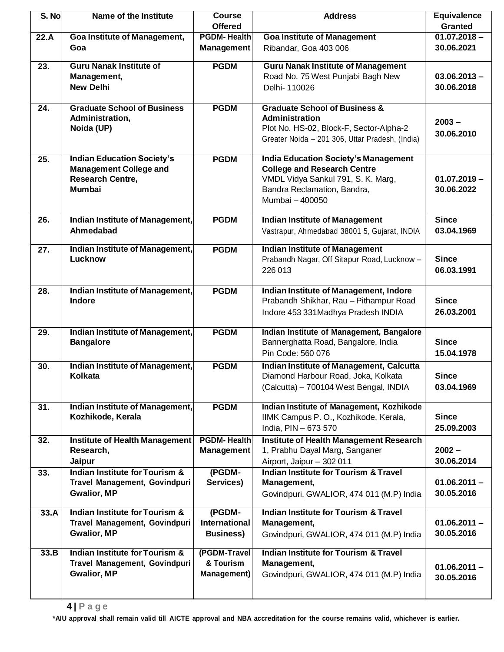| S. No | Name of the Institute                    | <b>Course</b>             | <b>Address</b>                                                                   | <b>Equivalence</b> |
|-------|------------------------------------------|---------------------------|----------------------------------------------------------------------------------|--------------------|
|       |                                          | <b>Offered</b>            |                                                                                  | <b>Granted</b>     |
| 22.A  | <b>Goa Institute of Management,</b>      | <b>PGDM-Health</b>        | <b>Goa Institute of Management</b>                                               | $01.07.2018 -$     |
|       | Goa                                      | <b>Management</b>         | Ribandar, Goa 403 006                                                            | 30.06.2021         |
| 23.   | <b>Guru Nanak Institute of</b>           | <b>PGDM</b>               | <b>Guru Nanak Institute of Management</b>                                        |                    |
|       | Management,                              |                           | Road No. 75 West Punjabi Bagh New                                                | $03.06.2013 -$     |
|       | <b>New Delhi</b>                         |                           | Delhi-110026                                                                     | 30.06.2018         |
|       |                                          |                           |                                                                                  |                    |
| 24.   | <b>Graduate School of Business</b>       | <b>PGDM</b>               | <b>Graduate School of Business &amp;</b>                                         |                    |
|       | Administration,                          |                           | Administration                                                                   | $2003 -$           |
|       | Noida (UP)                               |                           | Plot No. HS-02, Block-F, Sector-Alpha-2                                          | 30.06.2010         |
|       |                                          |                           | Greater Noida - 201 306, Uttar Pradesh, (India)                                  |                    |
| 25.   | <b>Indian Education Society's</b>        | <b>PGDM</b>               | <b>India Education Society's Management</b>                                      |                    |
|       | <b>Management College and</b>            |                           | <b>College and Research Centre</b>                                               |                    |
|       | <b>Research Centre,</b>                  |                           | VMDL Vidya Sankul 791, S. K. Marg,                                               | $01.07.2019 -$     |
|       | <b>Mumbai</b>                            |                           | Bandra Reclamation, Bandra,                                                      | 30.06.2022         |
|       |                                          |                           | Mumbai - 400050                                                                  |                    |
|       |                                          |                           |                                                                                  |                    |
| 26.   | Indian Institute of Management,          | <b>PGDM</b>               | <b>Indian Institute of Management</b>                                            | <b>Since</b>       |
|       | Ahmedabad                                |                           | Vastrapur, Ahmedabad 38001 5, Gujarat, INDIA                                     | 03.04.1969         |
| 27.   | Indian Institute of Management,          | <b>PGDM</b>               | <b>Indian Institute of Management</b>                                            |                    |
|       | Lucknow                                  |                           | Prabandh Nagar, Off Sitapur Road, Lucknow -                                      | <b>Since</b>       |
|       |                                          |                           | 226 013                                                                          | 06.03.1991         |
|       |                                          |                           |                                                                                  |                    |
| 28.   | Indian Institute of Management,          | <b>PGDM</b>               | Indian Institute of Management, Indore                                           |                    |
|       | Indore                                   |                           | Prabandh Shikhar, Rau - Pithampur Road                                           | <b>Since</b>       |
|       |                                          |                           | Indore 453 331 Madhya Pradesh INDIA                                              | 26.03.2001         |
| 29.   | Indian Institute of Management,          | <b>PGDM</b>               | Indian Institute of Management, Bangalore                                        |                    |
|       | <b>Bangalore</b>                         |                           | Bannerghatta Road, Bangalore, India                                              | <b>Since</b>       |
|       |                                          |                           | Pin Code: 560 076                                                                | 15.04.1978         |
| 30.   | Indian Institute of Management,          | <b>PGDM</b>               | Indian Institute of Management, Calcutta                                         |                    |
|       | <b>Kolkata</b>                           |                           | Diamond Harbour Road, Joka, Kolkata                                              | <b>Since</b>       |
|       |                                          |                           | (Calcutta) - 700104 West Bengal, INDIA                                           | 03.04.1969         |
|       |                                          |                           |                                                                                  |                    |
| 31.   | Indian Institute of Management,          | <b>PGDM</b>               | Indian Institute of Management, Kozhikode                                        |                    |
|       | Kozhikode, Kerala                        |                           | IIMK Campus P. O., Kozhikode, Kerala,                                            | <b>Since</b>       |
|       |                                          |                           | India, PIN - 673 570                                                             | 25.09.2003         |
| 32.   | <b>Institute of Health Management</b>    | <b>PGDM-Health</b>        | <b>Institute of Health Management Research</b><br>1, Prabhu Dayal Marg, Sanganer | $2002 -$           |
|       | Research,                                | Management                |                                                                                  | 30.06.2014         |
| 33.   | Jaipur<br>Indian Institute for Tourism & | (PGDM-                    | Airport, Jaipur - 302 011<br><b>Indian Institute for Tourism &amp; Travel</b>    |                    |
|       | Travel Management, Govindpuri            | Services)                 | Management,                                                                      | $01.06.2011 -$     |
|       | <b>Gwalior, MP</b>                       |                           | Govindpuri, GWALIOR, 474 011 (M.P) India                                         | 30.05.2016         |
|       |                                          |                           |                                                                                  |                    |
| 33.A  | Indian Institute for Tourism &           | (PGDM-                    | <b>Indian Institute for Tourism &amp; Travel</b>                                 |                    |
|       | Travel Management, Govindpuri            | International             | Management,                                                                      | $01.06.2011 -$     |
|       | <b>Gwalior, MP</b>                       | <b>Business)</b>          | Govindpuri, GWALIOR, 474 011 (M.P) India                                         | 30.05.2016         |
|       | Indian Institute for Tourism &           |                           | <b>Indian Institute for Tourism &amp; Travel</b>                                 |                    |
| 33.B  | Travel Management, Govindpuri            | (PGDM-Travel<br>& Tourism | Management,                                                                      |                    |
|       | <b>Gwalior, MP</b>                       | <b>Management</b> )       | Govindpuri, GWALIOR, 474 011 (M.P) India                                         | $01.06.2011 -$     |
|       |                                          |                           |                                                                                  | 30.05.2016         |
|       |                                          |                           |                                                                                  |                    |
|       |                                          |                           |                                                                                  |                    |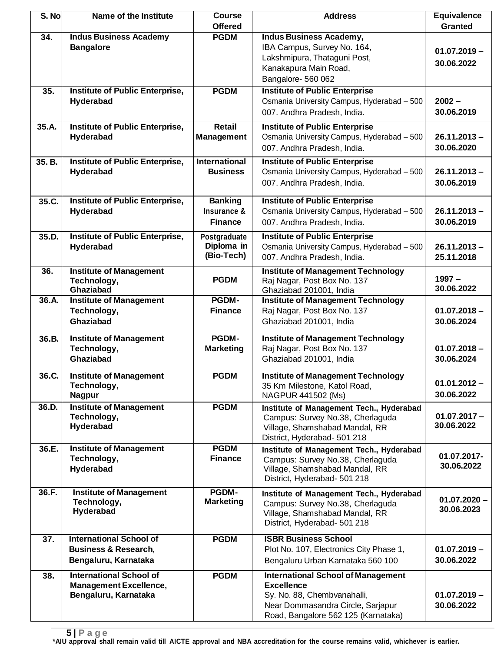| S. No  | Name of the Institute                                                                     | <b>Course</b><br><b>Offered</b>                 | <b>Address</b>                                                                                                                                                            | <b>Equivalence</b><br><b>Granted</b> |
|--------|-------------------------------------------------------------------------------------------|-------------------------------------------------|---------------------------------------------------------------------------------------------------------------------------------------------------------------------------|--------------------------------------|
| 34.    | <b>Indus Business Academy</b><br><b>Bangalore</b>                                         | <b>PGDM</b>                                     | <b>Indus Business Academy,</b><br>IBA Campus, Survey No. 164,<br>Lakshmipura, Thataguni Post,<br>Kanakapura Main Road,<br>Bangalore- 560 062                              | $01.07.2019 -$<br>30.06.2022         |
| 35.    | Institute of Public Enterprise,<br>Hyderabad                                              | <b>PGDM</b>                                     | <b>Institute of Public Enterprise</b><br>Osmania University Campus, Hyderabad - 500<br>007. Andhra Pradesh, India.                                                        | $2002 -$<br>30.06.2019               |
| 35.A.  | Institute of Public Enterprise,<br>Hyderabad                                              | <b>Retail</b><br><b>Management</b>              | <b>Institute of Public Enterprise</b><br>Osmania University Campus, Hyderabad - 500<br>007. Andhra Pradesh, India.                                                        | $26.11.2013 -$<br>30.06.2020         |
| 35. B. | Institute of Public Enterprise,<br>Hyderabad                                              | <b>International</b><br><b>Business</b>         | <b>Institute of Public Enterprise</b><br>Osmania University Campus, Hyderabad - 500<br>007. Andhra Pradesh, India.                                                        | $26.11.2013 -$<br>30.06.2019         |
| 35.C.  | Institute of Public Enterprise,<br>Hyderabad                                              | <b>Banking</b><br>Insurance &<br><b>Finance</b> | <b>Institute of Public Enterprise</b><br>Osmania University Campus, Hyderabad - 500<br>007. Andhra Pradesh, India.                                                        | $26.11.2013 -$<br>30.06.2019         |
| 35.D.  | <b>Institute of Public Enterprise,</b><br>Hyderabad                                       | Postgraduate<br>Diploma in<br>(Bio-Tech)        | <b>Institute of Public Enterprise</b><br>Osmania University Campus, Hyderabad - 500<br>007. Andhra Pradesh, India.                                                        | $26.11.2013 -$<br>25.11.2018         |
| 36.    | <b>Institute of Management</b><br>Technology,<br>Ghaziabad                                | <b>PGDM</b>                                     | <b>Institute of Management Technology</b><br>Raj Nagar, Post Box No. 137<br>Ghaziabad 201001, India                                                                       | $1997 -$<br>30.06.2022               |
| 36.A.  | <b>Institute of Management</b><br>Technology,<br>Ghaziabad                                | PGDM-<br><b>Finance</b>                         | <b>Institute of Management Technology</b><br>Raj Nagar, Post Box No. 137<br>Ghaziabad 201001, India                                                                       | $01.07.2018 -$<br>30.06.2024         |
| 36.B.  | <b>Institute of Management</b><br>Technology,<br><b>Ghaziabad</b>                         | PGDM-<br><b>Marketing</b>                       | <b>Institute of Management Technology</b><br>Raj Nagar, Post Box No. 137<br>Ghaziabad 201001, India                                                                       | $01.07.2018 -$<br>30.06.2024         |
| 36.C.  | <b>Institute of Management</b><br>Technology,<br><b>Nagpur</b>                            | <b>PGDM</b>                                     | <b>Institute of Management Technology</b><br>35 Km Milestone, Katol Road,<br>NAGPUR 441502 (Ms)                                                                           | $01.01.2012 -$<br>30.06.2022         |
| 36.D.  | <b>Institute of Management</b><br>Technology,<br>Hyderabad                                | <b>PGDM</b>                                     | Institute of Management Tech., Hyderabad<br>Campus: Survey No.38, Cherlaguda<br>Village, Shamshabad Mandal, RR<br>District, Hyderabad- 501 218                            | $01.07.2017 -$<br>30.06.2022         |
| 36.E.  | <b>Institute of Management</b><br>Technology,<br>Hyderabad                                | <b>PGDM</b><br><b>Finance</b>                   | Institute of Management Tech., Hyderabad<br>Campus: Survey No.38, Cherlaguda<br>Village, Shamshabad Mandal, RR<br>District, Hyderabad- 501 218                            | 01.07.2017-<br>30.06.2022            |
| 36.F.  | <b>Institute of Management</b><br>Technology,<br>Hyderabad                                | <b>PGDM-</b><br><b>Marketing</b>                | Institute of Management Tech., Hyderabad<br>Campus: Survey No.38, Cherlaguda<br>Village, Shamshabad Mandal, RR<br>District, Hyderabad- 501 218                            | $01.07.2020 -$<br>30.06.2023         |
| 37.    | <b>International School of</b><br><b>Business &amp; Research,</b><br>Bengaluru, Karnataka | <b>PGDM</b>                                     | <b>ISBR Business School</b><br>Plot No. 107, Electronics City Phase 1,<br>Bengaluru Urban Karnataka 560 100                                                               | $01.07.2019 -$<br>30.06.2022         |
| 38.    | <b>International School of</b><br><b>Management Excellence,</b><br>Bengaluru, Karnataka   | <b>PGDM</b>                                     | <b>International School of Management</b><br><b>Excellence</b><br>Sy. No. 88, Chembvanahalli,<br>Near Dommasandra Circle, Sarjapur<br>Road, Bangalore 562 125 (Karnataka) | $01.07.2019 -$<br>30.06.2022         |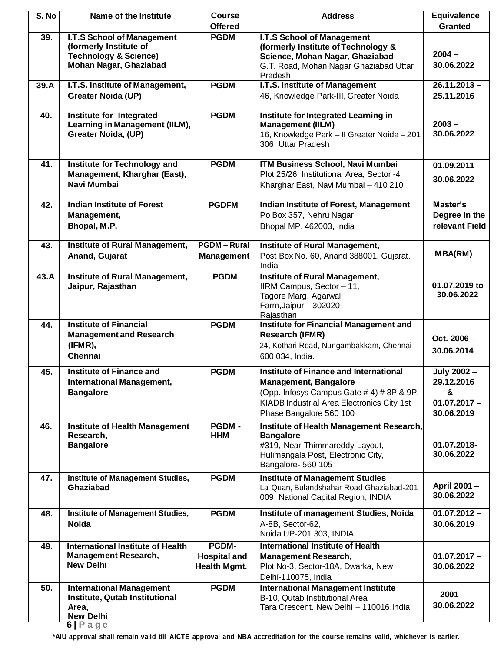| S. No | Name of the Institute                                                                    | <b>Course</b><br><b>Offered</b>            | <b>Address</b>                                                                                                                        | <b>Equivalence</b><br><b>Granted</b> |
|-------|------------------------------------------------------------------------------------------|--------------------------------------------|---------------------------------------------------------------------------------------------------------------------------------------|--------------------------------------|
| 39.   | <b>I.T.S School of Management</b>                                                        | <b>PGDM</b>                                | I.T.S School of Management                                                                                                            |                                      |
|       | (formerly Institute of<br><b>Technology &amp; Science)</b>                               |                                            | (formerly Institute of Technology &<br>Science, Mohan Nagar, Ghaziabad                                                                | $2004 -$                             |
|       | Mohan Nagar, Ghaziabad                                                                   |                                            | G.T. Road, Mohan Nagar Ghaziabad Uttar<br>Pradesh                                                                                     | 30.06.2022                           |
| 39.A  | I.T.S. Institute of Management,                                                          | <b>PGDM</b>                                | I.T.S. Institute of Management                                                                                                        | $26.11.2013 -$                       |
|       | <b>Greater Noida (UP)</b>                                                                |                                            | 46, Knowledge Park-III, Greater Noida                                                                                                 | 25.11.2016                           |
| 40.   | <b>Institute for Integrated</b><br>Learning in Management (IILM),<br>Greater Noida, (UP) | <b>PGDM</b>                                | Institute for Integrated Learning in<br><b>Management (IILM)</b><br>16, Knowledge Park - II Greater Noida - 201<br>306, Uttar Pradesh | $2003 -$<br>30.06.2022               |
| 41.   | Institute for Technology and                                                             | <b>PGDM</b>                                | ITM Business School, Navi Mumbai                                                                                                      | $01.09.2011 -$                       |
|       | Management, Kharghar (East),<br>Navi Mumbai                                              |                                            | Plot 25/26, Institutional Area, Sector -4<br>Kharghar East, Navi Mumbai - 410 210                                                     | 30.06.2022                           |
| 42.   | <b>Indian Institute of Forest</b>                                                        | <b>PGDFM</b>                               | Indian Institute of Forest, Management                                                                                                | Master's                             |
|       | Management,                                                                              |                                            | Po Box 357, Nehru Nagar                                                                                                               | Degree in the                        |
|       | Bhopal, M.P.                                                                             |                                            | Bhopal MP, 462003, India                                                                                                              | relevant Field                       |
| 43.   | Institute of Rural Management,<br>Anand, Gujarat                                         | <b>PGDM-Rural</b><br>Management            | Institute of Rural Management,<br>Post Box No. 60, Anand 388001, Gujarat,<br>India                                                    | <b>MBA(RM)</b>                       |
| 43.A  | <b>Institute of Rural Management,</b>                                                    | <b>PGDM</b>                                | <b>Institute of Rural Management,</b>                                                                                                 |                                      |
|       | Jaipur, Rajasthan                                                                        |                                            | IIRM Campus, Sector - 11,<br>Tagore Marg, Agarwal<br>Farm, Jaipur - 302020<br>Rajasthan                                               | 01.07.2019 to<br>30.06.2022          |
| 44.   | <b>Institute of Financial</b>                                                            | <b>PGDM</b>                                | <b>Institute for Financial Management and</b>                                                                                         |                                      |
|       | <b>Management and Research</b>                                                           |                                            | <b>Research (IFMR)</b>                                                                                                                | Oct. 2006-                           |
|       | (IFMR),<br>Chennai                                                                       |                                            | 24, Kothari Road, Nungambakkam, Chennai-<br>600 034, India.                                                                           | 30.06.2014                           |
| 45.   | <b>Institute of Finance and</b>                                                          | <b>PGDM</b>                                | Institute of Finance and International                                                                                                | July 2002 -                          |
|       | <b>International Management,</b><br><b>Bangalore</b>                                     |                                            | <b>Management, Bangalore</b><br>(Opp. Infosys Campus Gate # 4) # 8P & 9P,                                                             | 29.12.2016<br>&                      |
|       |                                                                                          |                                            | KIADB Industrial Area Electronics City 1st                                                                                            | $01.07.2017 -$                       |
|       |                                                                                          |                                            | Phase Bangalore 560 100                                                                                                               | 30.06.2019                           |
| 46.   | <b>Institute of Health Management</b><br>Research,                                       | <b>PGDM -</b><br><b>HHM</b>                | Institute of Health Management Research,<br><b>Bangalore</b>                                                                          |                                      |
|       | <b>Bangalore</b>                                                                         |                                            | #319, Near Thimmareddy Layout,                                                                                                        | 01.07.2018-                          |
|       |                                                                                          |                                            | Hulimangala Post, Electronic City,<br>Bangalore- 560 105                                                                              | 30.06.2022                           |
| 47.   | <b>Institute of Management Studies,</b>                                                  | <b>PGDM</b>                                | <b>Institute of Management Studies</b>                                                                                                |                                      |
|       | <b>Ghaziabad</b>                                                                         |                                            | Lal Quan, Bulandshahar Road Ghaziabad-201<br>009, National Capital Region, INDIA                                                      | April 2001-<br>30.06.2022            |
| 48.   | <b>Institute of Management Studies,</b>                                                  | <b>PGDM</b>                                | Institute of management Studies, Noida                                                                                                | $01.07.2012 -$                       |
|       | <b>Noida</b>                                                                             |                                            | A-8B, Sector-62,<br>Noida UP-201 303, INDIA                                                                                           | 30.06.2019                           |
| 49.   | <b>International Institute of Health</b>                                                 | PGDM-                                      | <b>International Institute of Health</b>                                                                                              |                                      |
|       | <b>Management Research,</b><br><b>New Delhi</b>                                          | <b>Hospital and</b><br><b>Health Mgmt.</b> | <b>Management Research,</b><br>Plot No-3, Sector-18A, Dwarka, New                                                                     | $01.07.2017 -$<br>30.06.2022         |
|       |                                                                                          |                                            | Delhi-110075, India                                                                                                                   |                                      |
| 50.   | <b>International Management</b>                                                          | <b>PGDM</b>                                | <b>International Management Institute</b>                                                                                             | $2001 -$                             |
|       | Institute, Qutab Institutional<br>Area,                                                  |                                            | B-10, Qutab Institutional Area<br>Tara Crescent. New Delhi - 110016. India.                                                           | 30.06.2022                           |
|       | <b>New Delhi</b>                                                                         |                                            |                                                                                                                                       |                                      |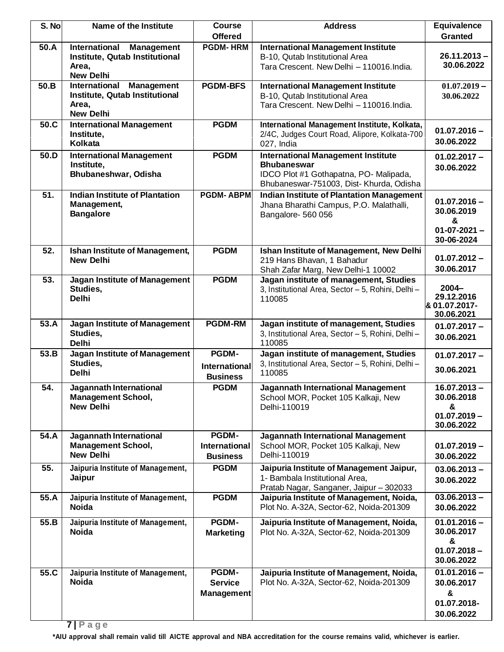| S. No | Name of the Institute                                                                                    | <b>Course</b>                                           | <b>Address</b>                                                                                                                                        | <b>Equivalence</b>                                                    |
|-------|----------------------------------------------------------------------------------------------------------|---------------------------------------------------------|-------------------------------------------------------------------------------------------------------------------------------------------------------|-----------------------------------------------------------------------|
| 50.A  | International Management                                                                                 | <b>Offered</b><br><b>PGDM-HRM</b>                       | <b>International Management Institute</b>                                                                                                             | <b>Granted</b>                                                        |
|       | Institute, Qutab Institutional<br>Area,<br><b>New Delhi</b>                                              |                                                         | B-10, Qutab Institutional Area<br>Tara Crescent. New Delhi - 110016. India.                                                                           | $26.11.2013 -$<br>30.06.2022                                          |
| 50.B  | <b>International</b><br><b>Management</b><br>Institute, Qutab Institutional<br>Area,<br><b>New Delhi</b> | <b>PGDM-BFS</b>                                         | <b>International Management Institute</b><br>B-10, Qutab Institutional Area<br>Tara Crescent. New Delhi - 110016. India.                              | $01.07,2019-$<br>30.06.2022                                           |
| 50.C  | <b>International Management</b><br>Institute,<br><b>Kolkata</b>                                          | <b>PGDM</b>                                             | International Management Institute, Kolkata,<br>2/4C, Judges Court Road, Alipore, Kolkata-700<br>027, India                                           | $01.07.2016 -$<br>30.06.2022                                          |
| 50.D  | <b>International Management</b><br>Institute,<br>Bhubaneshwar, Odisha                                    | <b>PGDM</b>                                             | <b>International Management Institute</b><br><b>Bhubaneswar</b><br>IDCO Plot #1 Gothapatna, PO- Malipada,<br>Bhubaneswar-751003, Dist- Khurda, Odisha | $01.02.2017 -$<br>30.06.2022                                          |
| 51.   | <b>Indian Institute of Plantation</b><br>Management,<br><b>Bangalore</b>                                 | <b>PGDM-ABPM</b>                                        | <b>Indian Institute of Plantation Management</b><br>Jhana Bharathi Campus, P.O. Malathalli,<br>Bangalore- 560 056                                     | $01.07.2016 -$<br>30.06.2019<br>&<br>$01 - 07 - 2021 -$<br>30-06-2024 |
| 52.   | <b>Ishan Institute of Management,</b><br><b>New Delhi</b>                                                | <b>PGDM</b>                                             | Ishan Institute of Management, New Delhi<br>219 Hans Bhavan, 1 Bahadur<br>Shah Zafar Marg, New Delhi-1 10002                                          | $01.07.2012 -$<br>30.06.2017                                          |
| 53.   | Jagan Institute of Management<br>Studies,<br><b>Delhi</b>                                                | <b>PGDM</b>                                             | Jagan institute of management, Studies<br>3, Institutional Area, Sector - 5, Rohini, Delhi -<br>110085                                                | $2004 -$<br>29.12.2016<br>8 01.07.2017-<br>30.06.2021                 |
| 53.A  | Jagan Institute of Management<br>Studies,<br><b>Delhi</b>                                                | <b>PGDM-RM</b>                                          | Jagan institute of management, Studies<br>3, Institutional Area, Sector - 5, Rohini, Delhi -<br>110085                                                | $01.07.2017 -$<br>30.06.2021                                          |
| 53.B  | Jagan Institute of Management<br>Studies,<br><b>Delhi</b>                                                | <b>PGDM-</b><br><b>International</b><br><b>Business</b> | Jagan institute of management, Studies<br>3, Institutional Area, Sector - 5, Rohini, Delhi -<br>110085                                                | $01.07.2017 -$<br>30.06.2021                                          |
| 54.   | Jagannath International<br><b>Management School,</b><br><b>New Delhi</b>                                 | <b>PGDM</b>                                             | Jagannath International Management<br>School MOR, Pocket 105 Kalkaji, New<br>Delhi-110019                                                             | $16.07.2013 -$<br>30.06.2018<br>&<br>$01.07.2019 -$<br>30.06.2022     |
| 54.A  | Jagannath International<br><b>Management School,</b><br><b>New Delhi</b>                                 | PGDM-<br><b>International</b><br><b>Business</b>        | Jagannath International Management<br>School MOR, Pocket 105 Kalkaji, New<br>Delhi-110019                                                             | $01.07.2019 -$<br>30.06.2022                                          |
| 55.   | Jaipuria Institute of Management,<br>Jaipur                                                              | <b>PGDM</b>                                             | Jaipuria Institute of Management Jaipur,<br>1- Bambala Institutional Area,<br>Pratab Nagar, Sanganer, Jaipur - 302033                                 | $03.06.2013 -$<br>30.06.2022                                          |
| 55.A  | Jaipuria Institute of Management,<br><b>Noida</b>                                                        | <b>PGDM</b>                                             | Jaipuria Institute of Management, Noida,<br>Plot No. A-32A, Sector-62, Noida-201309                                                                   | $03.06.2013 -$<br>30.06.2022                                          |
| 55.B  | Jaipuria Institute of Management,<br><b>Noida</b>                                                        | <b>PGDM-</b><br><b>Marketing</b>                        | Jaipuria Institute of Management, Noida,<br>Plot No. A-32A, Sector-62, Noida-201309                                                                   | $01.01.2016 -$<br>30.06.2017<br>&<br>$01.07.2018 -$<br>30.06.2022     |
| 55.C  | Jaipuria Institute of Management,<br><b>Noida</b>                                                        | PGDM-<br><b>Service</b><br>Management                   | Jaipuria Institute of Management, Noida,<br>Plot No. A-32A, Sector-62, Noida-201309                                                                   | $01.01.2016 -$<br>30.06.2017<br>&<br>01.07.2018-<br>30.06.2022        |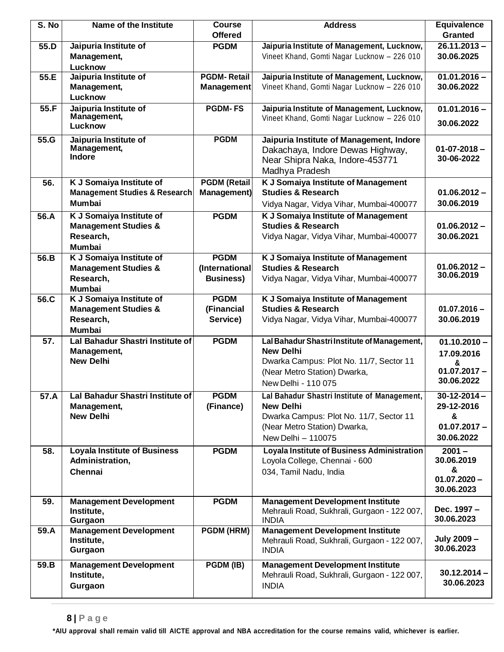| S. No | Name of the Institute                    | <b>Course</b><br><b>Offered</b> | <b>Address</b>                                                                         | <b>Equivalence</b><br><b>Granted</b> |
|-------|------------------------------------------|---------------------------------|----------------------------------------------------------------------------------------|--------------------------------------|
| 55.D  | Jaipuria Institute of                    | <b>PGDM</b>                     | Jaipuria Institute of Management, Lucknow,                                             | $26.11.2013 -$                       |
|       | Management,                              |                                 | Vineet Khand, Gomti Nagar Lucknow - 226 010                                            | 30.06.2025                           |
|       | Lucknow                                  |                                 |                                                                                        |                                      |
| 55.E  | Jaipuria Institute of                    | <b>PGDM-Retail</b>              | Jaipuria Institute of Management, Lucknow,                                             | $01.01.2016 -$                       |
|       | Management,                              | <b>Management</b>               | Vineet Khand, Gomti Nagar Lucknow - 226 010                                            | 30.06.2022                           |
|       | Lucknow                                  |                                 |                                                                                        |                                      |
| 55.F  | Jaipuria Institute of<br>Management,     | <b>PGDM-FS</b>                  | Jaipuria Institute of Management, Lucknow,                                             | $01.01.2016 -$                       |
|       | Lucknow                                  |                                 | Vineet Khand, Gomti Nagar Lucknow - 226 010                                            | 30.06.2022                           |
| 55.G  | Jaipuria Institute of                    | <b>PGDM</b>                     | Jaipuria Institute of Management, Indore                                               |                                      |
|       | Management,                              |                                 | Dakachaya, Indore Dewas Highway,                                                       | $01 - 07 - 2018 -$                   |
|       | Indore                                   |                                 | Near Shipra Naka, Indore-453771                                                        | 30-06-2022                           |
|       |                                          |                                 | Madhya Pradesh                                                                         |                                      |
| 56.   | K J Somaiya Institute of                 | <b>PGDM</b> (Retail             | K J Somaiya Institute of Management                                                    |                                      |
|       | <b>Management Studies &amp; Research</b> | <b>Management)</b>              | <b>Studies &amp; Research</b>                                                          | $01.06.2012 -$                       |
|       | <b>Mumbai</b>                            |                                 | Vidya Nagar, Vidya Vihar, Mumbai-400077                                                | 30.06.2019                           |
| 56.A  | K J Somaiya Institute of                 | <b>PGDM</b>                     | K J Somaiya Institute of Management                                                    |                                      |
|       | <b>Management Studies &amp;</b>          |                                 | <b>Studies &amp; Research</b>                                                          | $01.06.2012 -$                       |
|       | Research,<br><b>Mumbai</b>               |                                 | Vidya Nagar, Vidya Vihar, Mumbai-400077                                                | 30.06.2021                           |
| 56.B  | K J Somaiya Institute of                 | <b>PGDM</b>                     | K J Somaiya Institute of Management                                                    |                                      |
|       | <b>Management Studies &amp;</b>          | (International                  | <b>Studies &amp; Research</b>                                                          | $01.06.2012 -$                       |
|       | Research,                                | <b>Business)</b>                | Vidya Nagar, Vidya Vihar, Mumbai-400077                                                | 30.06.2019                           |
|       | <b>Mumbai</b>                            |                                 |                                                                                        |                                      |
| 56.C  | K J Somaiya Institute of                 | <b>PGDM</b>                     | K J Somaiya Institute of Management                                                    |                                      |
|       | <b>Management Studies &amp;</b>          | (Financial                      | <b>Studies &amp; Research</b>                                                          | $01.07.2016 -$                       |
|       | Research,<br><b>Mumbai</b>               | Service)                        | Vidya Nagar, Vidya Vihar, Mumbai-400077                                                | 30.06.2019                           |
| 57.   | Lal Bahadur Shastri Institute of         | <b>PGDM</b>                     | Lal Bahadur Shastri Institute of Management,                                           | $01.10.2010 -$                       |
|       | Management,                              |                                 | <b>New Delhi</b>                                                                       | 17.09.2016                           |
|       | <b>New Delhi</b>                         |                                 | Dwarka Campus: Plot No. 11/7, Sector 11                                                | &                                    |
|       |                                          |                                 | (Near Metro Station) Dwarka,                                                           | $01.07.2017 -$                       |
|       |                                          |                                 | New Delhi - 110 075                                                                    | 30.06.2022                           |
| 57.A  | Lal Bahadur Shastri Institute of         | <b>PGDM</b>                     | Lal Bahadur Shastri Institute of Management,                                           | $30 - 12 - 2014 -$                   |
|       | Management,                              | (Finance)                       | <b>New Delhi</b>                                                                       | 29-12-2016                           |
|       | <b>New Delhi</b>                         |                                 | Dwarka Campus: Plot No. 11/7, Sector 11                                                | &<br>$01.07.2017 -$                  |
|       |                                          |                                 | (Near Metro Station) Dwarka,<br>New Delhi - 110075                                     | 30.06.2022                           |
| 58.   | <b>Loyala Institute of Business</b>      | <b>PGDM</b>                     | Loyala Institute of Business Administration                                            | $2001 -$                             |
|       | Administration,                          |                                 | Loyola College, Chennai - 600                                                          | 30.06.2019                           |
|       | Chennai                                  |                                 | 034, Tamil Nadu, India                                                                 | &                                    |
|       |                                          |                                 |                                                                                        | $01.07.2020 -$                       |
|       |                                          |                                 |                                                                                        | 30.06.2023                           |
| 59.   | <b>Management Development</b>            | <b>PGDM</b>                     | <b>Management Development Institute</b><br>Mehrauli Road, Sukhrali, Gurgaon - 122 007, | Dec. 1997 -                          |
|       | Institute,<br>Gurgaon                    |                                 | <b>INDIA</b>                                                                           | 30.06.2023                           |
| 59.A  | <b>Management Development</b>            | PGDM (HRM)                      | <b>Management Development Institute</b>                                                |                                      |
|       | Institute,                               |                                 | Mehrauli Road, Sukhrali, Gurgaon - 122 007,                                            | July 2009 -                          |
|       | Gurgaon                                  |                                 | <b>INDIA</b>                                                                           | 30.06.2023                           |
| 59.B  | <b>Management Development</b>            | PGDM (IB)                       | <b>Management Development Institute</b>                                                |                                      |
|       | Institute,                               |                                 | Mehrauli Road, Sukhrali, Gurgaon - 122 007,                                            | $30.12.2014 -$                       |
|       | Gurgaon                                  |                                 | <b>INDIA</b>                                                                           | 30.06.2023                           |
|       |                                          |                                 |                                                                                        |                                      |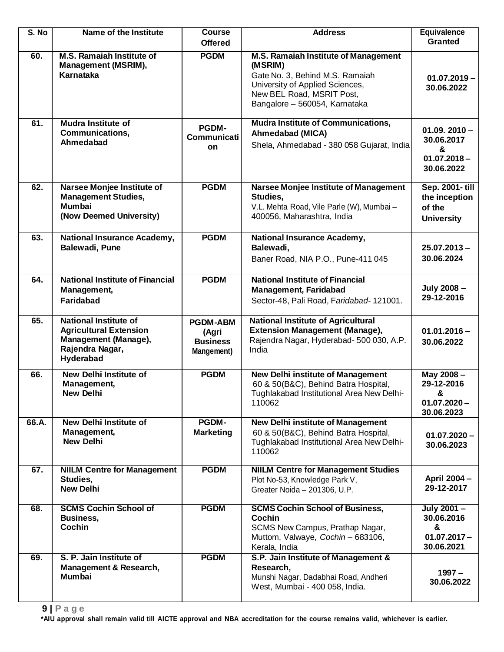| S. No | Name of the Institute                                                                                                 | Course                                                    | <b>Address</b>                                                                                                                                                                      | <b>Equivalence</b>                                                |
|-------|-----------------------------------------------------------------------------------------------------------------------|-----------------------------------------------------------|-------------------------------------------------------------------------------------------------------------------------------------------------------------------------------------|-------------------------------------------------------------------|
|       |                                                                                                                       | <b>Offered</b>                                            |                                                                                                                                                                                     | <b>Granted</b>                                                    |
| 60.   | M.S. Ramaiah Institute of<br><b>Management (MSRIM),</b><br>Karnataka                                                  | <b>PGDM</b>                                               | M.S. Ramaiah Institute of Management<br>(MSRIM)<br>Gate No. 3, Behind M.S. Ramaiah<br>University of Applied Sciences,<br>New BEL Road, MSRIT Post,<br>Bangalore - 560054, Karnataka | $01.07.2019 -$<br>30.06.2022                                      |
| 61.   | <b>Mudra Institute of</b><br>Communications,<br>Ahmedabad                                                             | <b>PGDM-</b><br><b>Communicati</b><br>on                  | <b>Mudra Institute of Communications,</b><br>Ahmedabad (MICA)<br>Shela, Ahmedabad - 380 058 Gujarat, India                                                                          | $01.09.2010 -$<br>30.06.2017<br>&<br>$01.07.2018 -$<br>30.06.2022 |
| 62.   | Narsee Monjee Institute of<br><b>Management Studies,</b><br><b>Mumbai</b><br>(Now Deemed University)                  | <b>PGDM</b>                                               | Narsee Monjee Institute of Management<br>Studies,<br>V.L. Mehta Road, Vile Parle (W), Mumbai-<br>400056, Maharashtra, India                                                         | Sep. 2001-till<br>the inception<br>of the<br><b>University</b>    |
| 63.   | <b>National Insurance Academy,</b><br>Balewadi, Pune                                                                  | <b>PGDM</b>                                               | National Insurance Academy,<br>Balewadi,<br>Baner Road, NIA P.O., Pune-411 045                                                                                                      | $25.07.2013 -$<br>30.06.2024                                      |
| 64.   | <b>National Institute of Financial</b><br>Management,<br><b>Faridabad</b>                                             | <b>PGDM</b>                                               | <b>National Institute of Financial</b><br><b>Management, Faridabad</b><br>Sector-48, Pali Road, Faridabad- 121001.                                                                  | July 2008 -<br>29-12-2016                                         |
| 65.   | <b>National Institute of</b><br><b>Agricultural Extension</b><br>Management (Manage),<br>Rajendra Nagar,<br>Hyderabad | <b>PGDM-ABM</b><br>(Agri<br><b>Business</b><br>Mangement) | National Institute of Agricultural<br><b>Extension Management (Manage),</b><br>Rajendra Nagar, Hyderabad- 500 030, A.P.<br>India                                                    | $01.01.2016 -$<br>30.06.2022                                      |
| 66.   | <b>New Delhi Institute of</b><br>Management,<br><b>New Delhi</b>                                                      | <b>PGDM</b>                                               | <b>New Delhi institute of Management</b><br>60 & 50(B&C), Behind Batra Hospital,<br>Tughlakabad Institutional Area New Delhi-<br>110062                                             | May 2008-<br>29-12-2016<br>&<br>$01.07.2020 -$<br>30.06.2023      |
| 66.A. | <b>New Delhi Institute of</b><br>Management,<br><b>New Delhi</b>                                                      | <b>PGDM-</b><br><b>Marketing</b>                          | <b>New Delhi institute of Management</b><br>60 & 50(B&C), Behind Batra Hospital,<br>Tughlakabad Institutional Area New Delhi-<br>110062                                             | $01.07.2020 -$<br>30.06.2023                                      |
| 67.   | <b>NIILM Centre for Management</b><br>Studies,<br><b>New Delhi</b>                                                    | <b>PGDM</b>                                               | <b>NIILM Centre for Management Studies</b><br>Plot No-53, Knowledge Park V,<br>Greater Noida - 201306, U.P.                                                                         | April 2004 -<br>29-12-2017                                        |
| 68.   | <b>SCMS Cochin School of</b><br>Business,<br>Cochin                                                                   | <b>PGDM</b>                                               | <b>SCMS Cochin School of Business,</b><br><b>Cochin</b><br>SCMS New Campus, Prathap Nagar,<br>Muttom, Valwaye, Cochin - 683106,<br>Kerala, India                                    | July 2001-<br>30.06.2016<br>&<br>$01.07.2017 -$<br>30.06.2021     |
| 69.   | S. P. Jain Institute of<br>Management & Research,<br><b>Mumbai</b>                                                    | <b>PGDM</b>                                               | S.P. Jain Institute of Management &<br>Research,<br>Munshi Nagar, Dadabhai Road, Andheri<br>West, Mumbai - 400 058, India.                                                          | $1997 -$<br>30.06.2022                                            |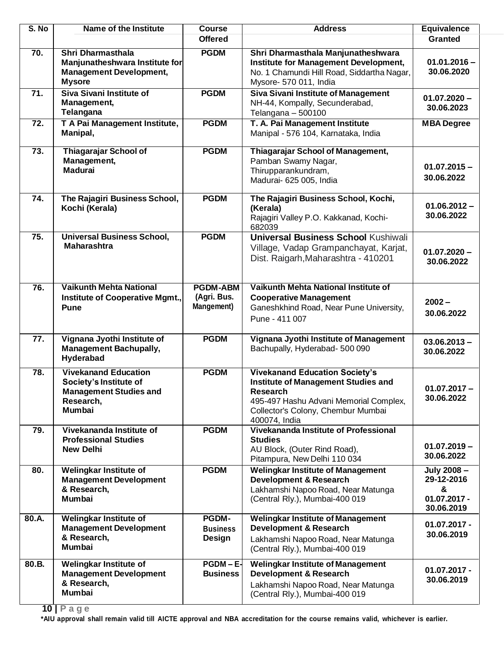| S. No      | Name of the Institute                                                                                                | <b>Course</b>                                | <b>Address</b>                                                                                                                                                                            | <b>Equivalence</b>                                             |
|------------|----------------------------------------------------------------------------------------------------------------------|----------------------------------------------|-------------------------------------------------------------------------------------------------------------------------------------------------------------------------------------------|----------------------------------------------------------------|
|            |                                                                                                                      | <b>Offered</b>                               |                                                                                                                                                                                           | Granted                                                        |
| 70.        | Shri Dharmasthala<br>Manjunatheshwara Institute for<br><b>Management Development,</b><br><b>Mysore</b>               | <b>PGDM</b>                                  | Shri Dharmasthala Manjunatheshwara<br>Institute for Management Development,<br>No. 1 Chamundi Hill Road, Siddartha Nagar,<br>Mysore- 570 011, India                                       | $01.01.2016 -$<br>30.06.2020                                   |
| 71.<br>72. | Siva Sivani Institute of<br>Management,<br>Telangana<br>T A Pai Management Institute,<br>Manipal,                    | <b>PGDM</b><br><b>PGDM</b>                   | <b>Siva Sivani Institute of Management</b><br>NH-44, Kompally, Secunderabad,<br>Telangana - 500100<br>T. A. Pai Management Institute<br>Manipal - 576 104, Karnataka, India               | $01.07.2020 -$<br>30.06.2023<br><b>MBA Degree</b>              |
| 73.        | <b>Thiagarajar School of</b><br>Management,<br><b>Madurai</b>                                                        | <b>PGDM</b>                                  | Thiagarajar School of Management,<br>Pamban Swamy Nagar,<br>Thirupparankundram,<br>Madurai- 625 005, India                                                                                | $01.07.2015 -$<br>30.06.2022                                   |
| 74.        | The Rajagiri Business School,<br>Kochi (Kerala)                                                                      | <b>PGDM</b>                                  | The Rajagiri Business School, Kochi,<br>(Kerala)<br>Rajagiri Valley P.O. Kakkanad, Kochi-<br>682039                                                                                       | $01.06.2012 -$<br>30.06.2022                                   |
| 75.        | <b>Universal Business School,</b><br><b>Maharashtra</b>                                                              | <b>PGDM</b>                                  | <b>Universal Business School Kushiwali</b><br>Village, Vadap Grampanchayat, Karjat,<br>Dist. Raigarh, Maharashtra - 410201                                                                | $01.07.2020 -$<br>30.06.2022                                   |
| 76.        | <b>Vaikunth Mehta National</b><br><b>Institute of Cooperative Mgmt.,</b><br><b>Pune</b>                              | <b>PGDM-ABM</b><br>(Agri. Bus.<br>Mangement) | Vaikunth Mehta National Institute of<br><b>Cooperative Management</b><br>Ganeshkhind Road, Near Pune University,<br>Pune - 411 007                                                        | $2002 -$<br>30.06.2022                                         |
| 77.        | Vignana Jyothi Institute of<br><b>Management Bachupally,</b><br>Hyderabad                                            | <b>PGDM</b>                                  | Vignana Jyothi Institute of Management<br>Bachupally, Hyderabad- 500 090                                                                                                                  | $03.06.2013 -$<br>30.06.2022                                   |
| 78.        | <b>Vivekanand Education</b><br>Society's Institute of<br><b>Management Studies and</b><br>Research,<br><b>Mumbai</b> | <b>PGDM</b>                                  | <b>Vivekanand Education Society's</b><br>Institute of Management Studies and<br>Research<br>495-497 Hashu Advani Memorial Complex,<br>Collector's Colony, Chembur Mumbai<br>400074, India | $01.07.2017 -$<br>30.06.2022                                   |
| 79.        | Vivekananda Institute of<br><b>Professional Studies</b><br><b>New Delhi</b>                                          | <b>PGDM</b>                                  | Vivekananda Institute of Professional<br><b>Studies</b><br>AU Block, (Outer Rind Road),<br>Pitampura, New Delhi 110 034                                                                   | $01.07.2019 -$<br>30.06.2022                                   |
| 80.        | <b>Welingkar Institute of</b><br><b>Management Development</b><br>& Research,<br><b>Mumbai</b>                       | <b>PGDM</b>                                  | <b>Welingkar Institute of Management</b><br><b>Development &amp; Research</b><br>Lakhamshi Napoo Road, Near Matunga<br>(Central Rly.), Mumbai-400 019                                     | July 2008 -<br>29-12-2016<br>&<br>$01.07.2017 -$<br>30.06.2019 |
| 80.A.      | <b>Welingkar Institute of</b><br><b>Management Development</b><br>& Research,<br><b>Mumbai</b>                       | <b>PGDM-</b><br><b>Business</b><br>Design    | <b>Welingkar Institute of Management</b><br><b>Development &amp; Research</b><br>Lakhamshi Napoo Road, Near Matunga<br>(Central Rly.), Mumbai-400 019                                     | $01.07.2017 -$<br>30.06.2019                                   |
| 80.B.      | Welingkar Institute of<br><b>Management Development</b><br>& Research,<br>Mumbai                                     | $PGDM - E$<br><b>Business</b>                | <b>Welingkar Institute of Management</b><br><b>Development &amp; Research</b><br>Lakhamshi Napoo Road, Near Matunga<br>(Central Rly.), Mumbai-400 019                                     | $01.07.2017 -$<br>30.06.2019                                   |